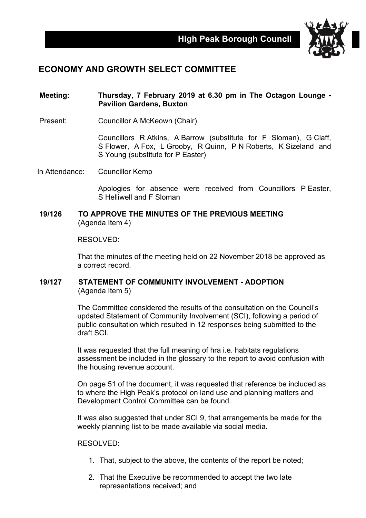

# **ECONOMY AND GROWTH SELECT COMMITTEE**

## **Meeting: Thursday, 7 February 2019 at 6.30 pm in The Octagon Lounge - Pavilion Gardens, Buxton**

Present: Councillor A McKeown (Chair)

Councillors R Atkins, A Barrow (substitute for F Sloman), G Claff, S Flower, A Fox, L Grooby, R Quinn, P N Roberts, K Sizeland and S Young (substitute for P Easter)

In Attendance: Councillor Kemp

Apologies for absence were received from Councillors P Easter, S Helliwell and F Sloman

### **19/126 TO APPROVE THE MINUTES OF THE PREVIOUS MEETING** (Agenda Item 4)

RESOLVED:

That the minutes of the meeting held on 22 November 2018 be approved as a correct record.

## **19/127 STATEMENT OF COMMUNITY INVOLVEMENT - ADOPTION** (Agenda Item 5)

The Committee considered the results of the consultation on the Council's updated Statement of Community Involvement (SCI), following a period of public consultation which resulted in 12 responses being submitted to the draft SCI.

It was requested that the full meaning of hra i.e. habitats regulations assessment be included in the glossary to the report to avoid confusion with the housing revenue account.

On page 51 of the document, it was requested that reference be included as to where the High Peak's protocol on land use and planning matters and Development Control Committee can be found.

It was also suggested that under SCI 9, that arrangements be made for the weekly planning list to be made available via social media.

RESOLVED:

- 1. That, subject to the above, the contents of the report be noted;
- 2. That the Executive be recommended to accept the two late representations received; and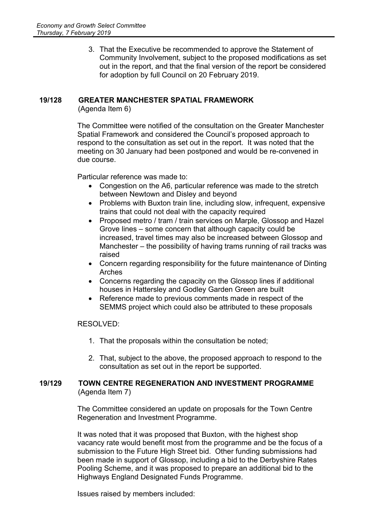3. That the Executive be recommended to approve the Statement of Community Involvement, subject to the proposed modifications as set out in the report, and that the final version of the report be considered for adoption by full Council on 20 February 2019.

### **19/128 GREATER MANCHESTER SPATIAL FRAMEWORK**

(Agenda Item 6)

The Committee were notified of the consultation on the Greater Manchester Spatial Framework and considered the Council's proposed approach to respond to the consultation as set out in the report. It was noted that the meeting on 30 January had been postponed and would be re-convened in due course.

Particular reference was made to:

- Congestion on the A6, particular reference was made to the stretch between Newtown and Disley and beyond
- Problems with Buxton train line, including slow, infrequent, expensive trains that could not deal with the capacity required
- Proposed metro / tram / train services on Marple, Glossop and Hazel Grove lines – some concern that although capacity could be increased, travel times may also be increased between Glossop and Manchester – the possibility of having trams running of rail tracks was raised
- Concern regarding responsibility for the future maintenance of Dinting Arches
- Concerns regarding the capacity on the Glossop lines if additional houses in Hattersley and Godley Garden Green are built
- Reference made to previous comments made in respect of the SEMMS project which could also be attributed to these proposals

RESOLVED:

- 1. That the proposals within the consultation be noted;
- 2. That, subject to the above, the proposed approach to respond to the consultation as set out in the report be supported.

### **19/129 TOWN CENTRE REGENERATION AND INVESTMENT PROGRAMME** (Agenda Item 7)

The Committee considered an update on proposals for the Town Centre Regeneration and Investment Programme.

It was noted that it was proposed that Buxton, with the highest shop vacancy rate would benefit most from the programme and be the focus of a submission to the Future High Street bid. Other funding submissions had been made in support of Glossop, including a bid to the Derbyshire Rates Pooling Scheme, and it was proposed to prepare an additional bid to the Highways England Designated Funds Programme.

Issues raised by members included: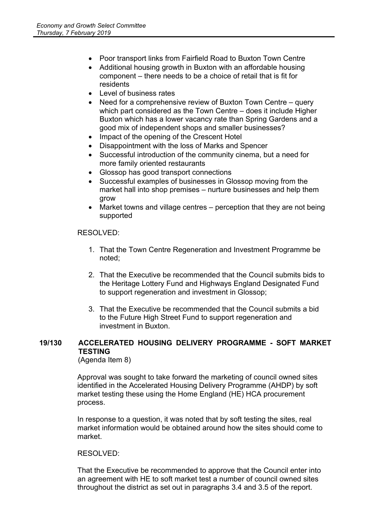- Poor transport links from Fairfield Road to Buxton Town Centre
- Additional housing growth in Buxton with an affordable housing component – there needs to be a choice of retail that is fit for residents
- Level of business rates
- Need for a comprehensive review of Buxton Town Centre query which part considered as the Town Centre – does it include Higher Buxton which has a lower vacancy rate than Spring Gardens and a good mix of independent shops and smaller businesses?
- Impact of the opening of the Crescent Hotel
- Disappointment with the loss of Marks and Spencer
- Successful introduction of the community cinema, but a need for more family oriented restaurants
- Glossop has good transport connections
- Successful examples of businesses in Glossop moving from the market hall into shop premises – nurture businesses and help them grow
- Market towns and village centres perception that they are not being supported

## RESOLVED:

- 1. That the Town Centre Regeneration and Investment Programme be noted;
- 2. That the Executive be recommended that the Council submits bids to the Heritage Lottery Fund and Highways England Designated Fund to support regeneration and investment in Glossop;
- 3. That the Executive be recommended that the Council submits a bid to the Future High Street Fund to support regeneration and investment in Buxton.

## **19/130 ACCELERATED HOUSING DELIVERY PROGRAMME - SOFT MARKET TESTING**

(Agenda Item 8)

Approval was sought to take forward the marketing of council owned sites identified in the Accelerated Housing Delivery Programme (AHDP) by soft market testing these using the Home England (HE) HCA procurement process.

In response to a question, it was noted that by soft testing the sites, real market information would be obtained around how the sites should come to market.

### RESOLVED:

That the Executive be recommended to approve that the Council enter into an agreement with HE to soft market test a number of council owned sites throughout the district as set out in paragraphs 3.4 and 3.5 of the report.